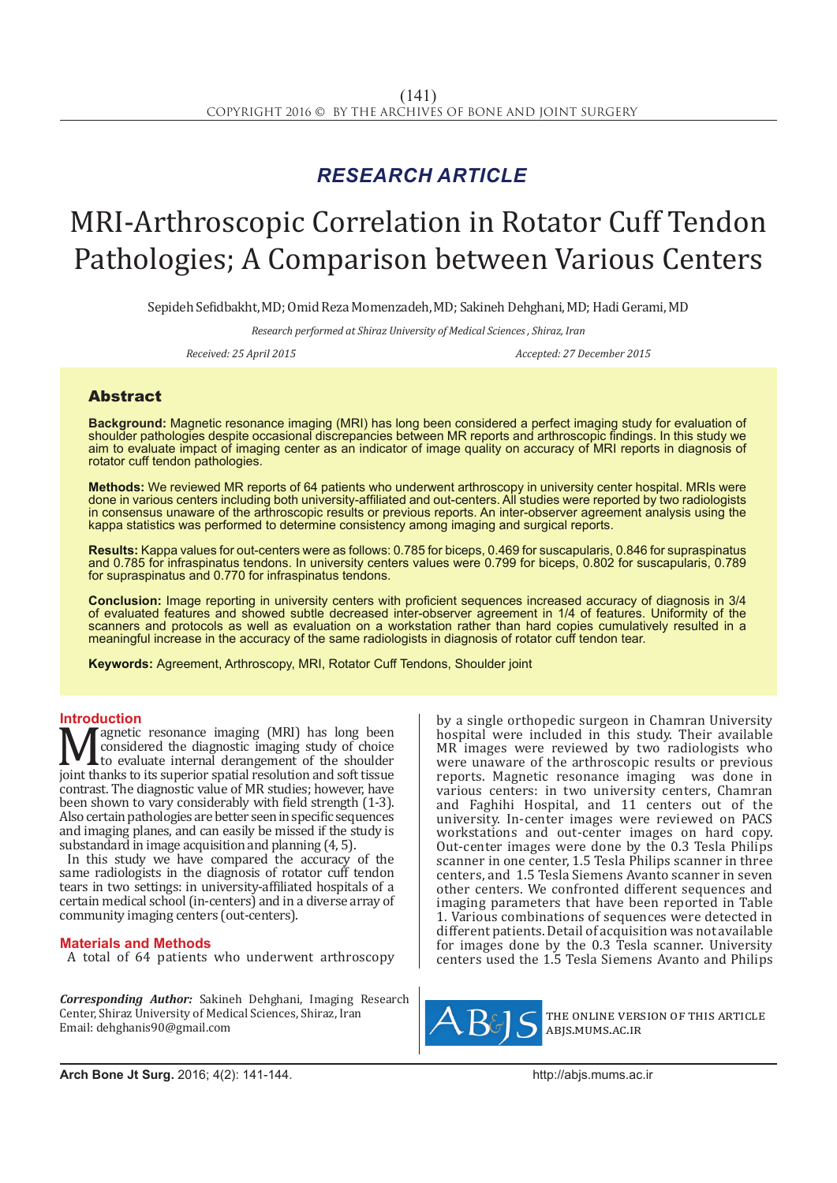## *RESEARCH ARTICLE*

# MRI-Arthroscopic Correlation in Rotator Cuff Tendon Pathologies; A Comparison between Various Centers

Sepideh Sefidbakht, MD; Omid Reza Momenzadeh, MD; Sakineh Dehghani, MD; Hadi Gerami, MD

*Research performed at Shiraz University of Medical Sciences , Shiraz, Iran*

*Received: 25 April 2015 Accepted: 27 December 2015*

### Abstract

**Background:** Magnetic resonance imaging (MRI) has long been considered a perfect imaging study for evaluation of shoulder pathologies despite occasional discrepancies between MR reports and arthroscopic findings. In this study we aim to evaluate impact of imaging center as an indicator of image quality on accuracy of MRI reports in diagnosis of rotator cuff tendon pathologies.

**Methods:** We reviewed MR reports of 64 patients who underwent arthroscopy in university center hospital. MRIs were done in various centers including both university-affiliated and out-centers. All studies were reported by two radiologists in consensus unaware of the arthroscopic results or previous reports. An inter-observer agreement analysis using the kappa statistics was performed to determine consistency among imaging and surgical reports.

**Results:** Kappa values for out-centers were as follows: 0.785 for biceps, 0.469 for suscapularis, 0.846 for supraspinatus and 0.785 for infraspinatus tendons. In university centers values were 0.799 for biceps, 0.802 for suscapularis, 0.789 for supraspinatus and 0.770 for infraspinatus tendons.

**Conclusion:** Image reporting in university centers with proficient sequences increased accuracy of diagnosis in 3/4 of evaluated features and showed subtle decreased inter-observer agreement in 1/4 of features. Uniformity of the scanners and protocols as well as evaluation on a workstation rather than hard copies cumulatively resulted in a meaningful increase in the accuracy of the same radiologists in diagnosis of rotator cuff tendon tear.

**Keywords:** Agreement, Arthroscopy, MRI, Rotator Cuff Tendons, Shoulder joint

**Introduction**<br>**N** *A* agnetic resonance imaging (MRI) has long been **Magnetic resonance imaging (MRI) has long been**<br>to considered the diagnostic imaging study of choice<br>joint thanks to its superior spatial resolution and soft tissue<br>contrast. The diagnostic value of MR studies: however ha considered the diagnostic imaging study of choice to evaluate internal derangement of the shoulder contrast. The diagnostic value of MR studies; however, have been shown to vary considerably with field strength (1-3). Also certain pathologies are better seen in specific sequences and imaging planes, and can easily be missed if the study is substandard in image acquisition and planning (4, 5).

In this study we have compared the accuracy of the same radiologists in the diagnosis of rotator cuff tendon tears in two settings: in university-affiliated hospitals of a certain medical school (in-centers) and in a diverse array of community imaging centers (out-centers).

#### **Materials and Methods**

A total of 64 patients who underwent arthroscopy

*Corresponding Author:* Sakineh Dehghani, Imaging Research Center, Shiraz University of Medical Sciences, Shiraz, Iran Email: dehghanis90@gmail.com

by a single orthopedic surgeon in Chamran University hospital were included in this study. Their available MR images were reviewed by two radiologists who were unaware of the arthroscopic results or previous reports. Magnetic resonance imaging was done in various centers: in two university centers, Chamran and Faghihi Hospital, and 11 centers out of the university. In-center images were reviewed on PACS workstations and out-center images on hard copy. Out-center images were done by the 0.3 Tesla Philips scanner in one center, 1.5 Tesla Philips scanner in three centers, and 1.5 Tesla Siemens Avanto scanner in seven other centers. We confronted different sequences and imaging parameters that have been reported in Table 1. Various combinations of sequences were detected in different patients. Detail of acquisition was not available for images done by the 0.3 Tesla scanner. University centers used the 1.5 Tesla Siemens Avanto and Philips



the online version of this article abjs.mums.ac.ir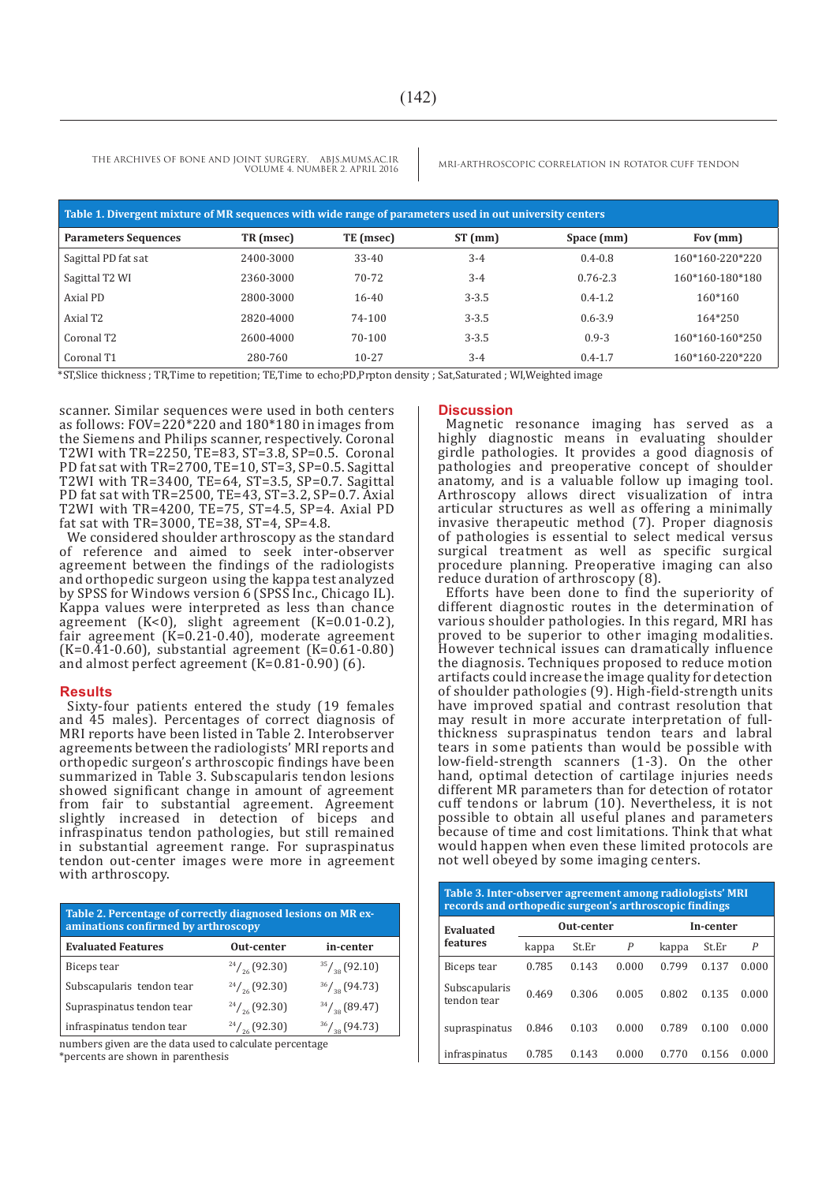THE ARCHIVES OF BONE AND JOINT SURGERY. ABJS.MUMS.AC.IR MRI-ARTHROSCOPIC CORRELATION IN ROTATOR CUFF TENDON VOLUME 4. NUMBER 2. APRIL 2016

| Table 1. Divergent mixture of MR sequences with wide range of parameters used in out university centers |           |           |           |              |                 |  |  |  |  |
|---------------------------------------------------------------------------------------------------------|-----------|-----------|-----------|--------------|-----------------|--|--|--|--|
| <b>Parameters Sequences</b>                                                                             | TR (msec) | TE (msec) | $ST$ (mm) | Space (mm)   | Fov $(mm)$      |  |  |  |  |
| Sagittal PD fat sat                                                                                     | 2400-3000 | $33 - 40$ | $3 - 4$   | $0.4 - 0.8$  | 160*160-220*220 |  |  |  |  |
| Sagittal T2 WI                                                                                          | 2360-3000 | 70-72     | $3 - 4$   | $0.76 - 2.3$ | 160*160-180*180 |  |  |  |  |
| Axial PD                                                                                                | 2800-3000 | $16 - 40$ | $3 - 3.5$ | $0.4 - 1.2$  | $160*160$       |  |  |  |  |
| Axial T2                                                                                                | 2820-4000 | 74-100    | $3 - 3.5$ | $0.6 - 3.9$  | $164*250$       |  |  |  |  |
| Coronal T2                                                                                              | 2600-4000 | 70-100    | $3 - 3.5$ | $0.9 - 3$    | 160*160-160*250 |  |  |  |  |
| Coronal T1                                                                                              | 280-760   | $10 - 27$ | $3 - 4$   | $0.4 - 1.7$  | 160*160-220*220 |  |  |  |  |

\*ST,Slice thickness ; TR,Time to repetition; TE,Time to echo;PD,Prpton density ; Sat,Saturated ; WI,Weighted image

scanner. Similar sequences were used in both centers as follows:  $FOV = 220*220$  and  $180*180$  in images from the Siemens and Philips scanner, respectively. Coronal T2WI with  $TR = 2250$ ,  $TE = 83$ ,  $ST = 3.8$ ,  $SP = 0.5$ . Coronal PD fat sat with TR=2700, TE=10, ST=3, SP=0.5. Sagittal T2WI with TR=3400, TE=64, ST=3.5, SP=0.7. Sagittal PD fat sat with TR=2500, TE=43, ST=3.2, SP=0.7. Axial T2WI with TR=4200, TE=75, ST=4.5, SP=4. Axial PD fat sat with TR=3000, TE=38, ST=4, SP=4.8.

We considered shoulder arthroscopy as the standard of reference and aimed to seek inter-observer agreement between the findings of the radiologists and orthopedic surgeon using the kappa test analyzed by SPSS for Windows version 6 (SPSS Inc., Chicago IL). Kappa values were interpreted as less than chance agreement (K<0), slight agreement (K=0.01-0.2), fair agreement (K=0.21-0.40), moderate agreement  $(K=0.41-0.60)$ , substantial agreement  $(K=0.61-0.80)$ and almost perfect agreement (K=0.81-0.90) (6).

#### **Results**

Sixty-four patients entered the study (19 females and 45 males). Percentages of correct diagnosis of MRI reports have been listed in Table 2. Interobserver agreements between the radiologists' MRI reports and orthopedic surgeon's arthroscopic findings have been summarized in Table 3. Subscapularis tendon lesions showed significant change in amount of agreement from fair to substantial agreement. Agreement slightly increased in detection of biceps and infraspinatus tendon pathologies, but still remained in substantial agreement range. For supraspinatus tendon out-center images were more in agreement with arthroscopy.

| Table 2. Percentage of correctly diagnosed lesions on MR ex-<br>aminations confirmed by arthroscopy |                         |                                        |  |  |  |  |
|-----------------------------------------------------------------------------------------------------|-------------------------|----------------------------------------|--|--|--|--|
| <b>Evaluated Features</b>                                                                           | Out-center              | in-center                              |  |  |  |  |
| Biceps tear                                                                                         | $^{24}/_{26}$ (92.30)   | $\frac{35}{3}$ / <sub>38</sub> (92.10) |  |  |  |  |
| Subscapularis tendon tear                                                                           | $\frac{24}{26}$ (92.30) | $\frac{36}{38}$ (94.73)                |  |  |  |  |
| Supraspinatus tendon tear                                                                           | $\frac{24}{26}$ (92.30) | $\frac{34}{38}$ (89.47)                |  |  |  |  |
| infraspinatus tendon tear                                                                           | $\frac{24}{26}$ (92.30) | $^{36}/_{38}$ (94.73)                  |  |  |  |  |

numbers given are the data used to calculate percentage \*percents are shown in parenthesis

#### **Discussion**

Magnetic resonance imaging has served as a highly diagnostic means in evaluating shoulder girdle pathologies. It provides a good diagnosis of pathologies and preoperative concept of shoulder anatomy, and is a valuable follow up imaging tool. Arthroscopy allows direct visualization of intra articular structures as well as offering a minimally invasive therapeutic method (7). Proper diagnosis of pathologies is essential to select medical versus surgical treatment as well as specific surgical procedure planning. Preoperative imaging can also reduce duration of arthroscopy (8).

Efforts have been done to find the superiority of different diagnostic routes in the determination of various shoulder pathologies. In this regard, MRI has proved to be superior to other imaging modalities. However technical issues can dramatically influence the diagnosis. Techniques proposed to reduce motion artifacts could increase the image quality for detection of shoulder pathologies (9). High-field-strength units have improved spatial and contrast resolution that may result in more accurate interpretation of fullthickness supraspinatus tendon tears and labral tears in some patients than would be possible with low-field-strength scanners (1-3). On the other hand, optimal detection of cartilage injuries needs different MR parameters than for detection of rotator cuff tendons or labrum (10). Nevertheless, it is not possible to obtain all useful planes and parameters because of time and cost limitations. Think that what would happen when even these limited protocols are not well obeyed by some imaging centers.

| Table 3. Inter-observer agreement among radiologists' MRI<br>records and orthopedic surgeon's arthroscopic findings |            |       |       |           |       |                |  |  |  |  |
|---------------------------------------------------------------------------------------------------------------------|------------|-------|-------|-----------|-------|----------------|--|--|--|--|
| <b>Evaluated</b><br>features                                                                                        | Out-center |       |       | In-center |       |                |  |  |  |  |
|                                                                                                                     | kappa      | St.Er | P     | kappa     | St.Er | $\overline{P}$ |  |  |  |  |
| Biceps tear                                                                                                         | 0.785      | 0.143 | 0.000 | 0.799     | 0.137 | 0.000          |  |  |  |  |
| Subscapularis<br>tendon tear                                                                                        | 0.469      | 0.306 | 0.005 | 0.802     | 0.135 | 0.000          |  |  |  |  |
| supraspinatus                                                                                                       | 0.846      | 0.103 | 0.000 | 0.789     | 0.100 | 0.000          |  |  |  |  |
| infraspinatus                                                                                                       | 0.785      | 0.143 | 0.000 | 0.770     | 0.156 | 0.000          |  |  |  |  |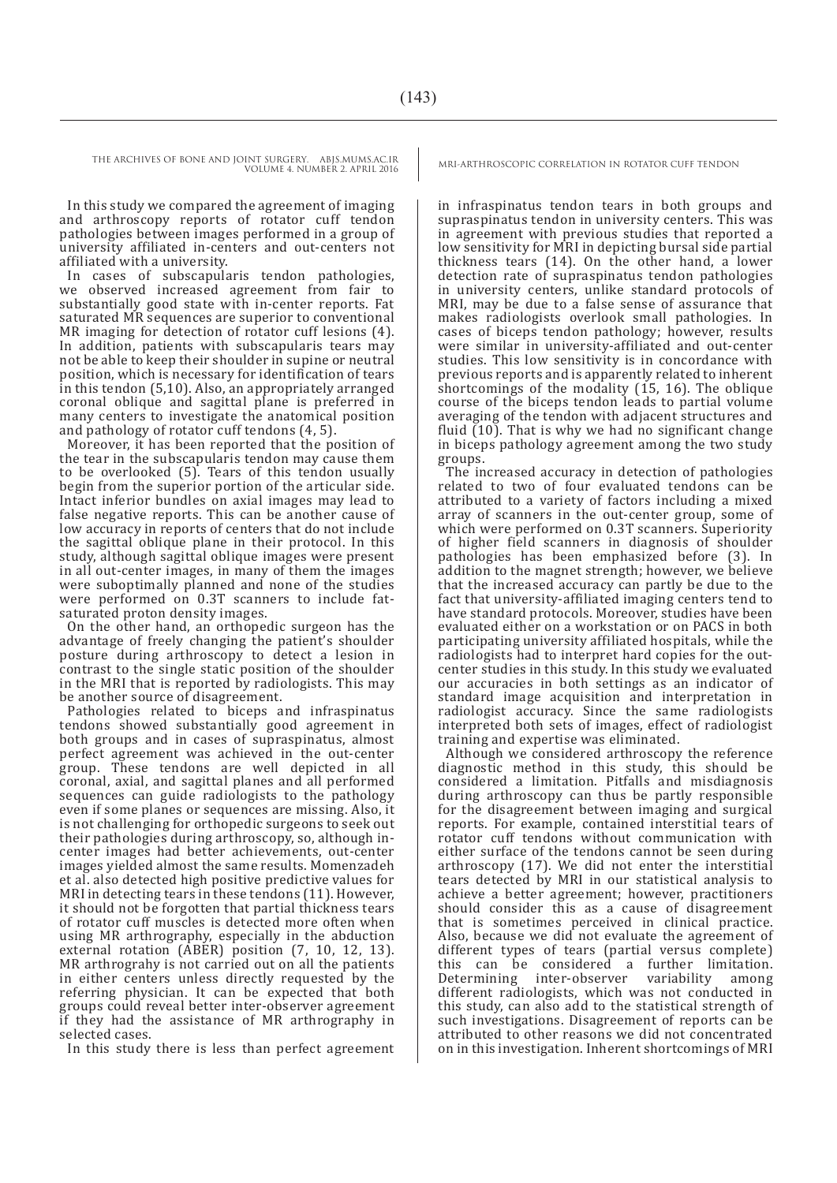THE ARCHIVES OF BONE AND JOINT SURGERY. ABJS.MUMS.AC.IR MRI-ARTHROSCOPIC CORRELATION IN ROTATOR CUFF TENDON VOLUME 4. NUMBER 2. APRIL 2016

In this study we compared the agreement of imaging and arthroscopy reports of rotator cuff tendon pathologies between images performed in a group of university affiliated in-centers and out-centers not affiliated with a university.

In cases of subscapularis tendon pathologies, we observed increased agreement from fair to substantially good state with in-center reports. Fat saturated MR sequences are superior to conventional MR imaging for detection of rotator cuff lesions (4). In addition, patients with subscapularis tears may not be able to keep their shoulder in supine or neutral position, which is necessary for identification of tears in this tendon (5,10). Also, an appropriately arranged coronal oblique and sagittal plane is preferred in many centers to investigate the anatomical position and pathology of rotator cuff tendons (4, 5).

Moreover, it has been reported that the position of the tear in the subscapularis tendon may cause them to be overlooked (5). Tears of this tendon usually begin from the superior portion of the articular side. Intact inferior bundles on axial images may lead to false negative reports. This can be another cause of low accuracy in reports of centers that do not include the sagittal oblique plane in their protocol. In this study, although sagittal oblique images were present in all out-center images, in many of them the images were suboptimally planned and none of the studies were performed on 0.3T scanners to include fatsaturated proton density images.

On the other hand, an orthopedic surgeon has the advantage of freely changing the patient's shoulder posture during arthroscopy to detect a lesion in contrast to the single static position of the shoulder in the MRI that is reported by radiologists. This may be another source of disagreement.

Pathologies related to biceps and infraspinatus tendons showed substantially good agreement in both groups and in cases of supraspinatus, almost perfect agreement was achieved in the out-center group. These tendons are well depicted in all coronal, axial, and sagittal planes and all performed sequences can guide radiologists to the pathology even if some planes or sequences are missing. Also, it is not challenging for orthopedic surgeons to seek out their pathologies during arthroscopy, so, although incenter images had better achievements, out-center images yielded almost the same results. Momenzadeh et al. also detected high positive predictive values for MRI in detecting tears in these tendons (11). However, it should not be forgotten that partial thickness tears of rotator cuff muscles is detected more often when using MR arthrography, especially in the abduction external rotation (ABER) position (7, 10, 12, 13). MR arthrograhy is not carried out on all the patients in either centers unless directly requested by the referring physician. It can be expected that both groups could reveal better inter-observer agreement if they had the assistance of MR arthrography in selected cases.

In this study there is less than perfect agreement

in infraspinatus tendon tears in both groups and supraspinatus tendon in university centers. This was in agreement with previous studies that reported a low sensitivity for MRI in depicting bursal side partial thickness tears (14). On the other hand, a lower detection rate of supraspinatus tendon pathologies in university centers, unlike standard protocols of MRI, may be due to a false sense of assurance that makes radiologists overlook small pathologies. In cases of biceps tendon pathology; however, results were similar in university-affiliated and out-center studies. This low sensitivity is in concordance with previous reports and is apparently related to inherent shortcomings of the modality (15, 16). The oblique course of the biceps tendon leads to partial volume averaging of the tendon with adjacent structures and fluid  $(10)$ . That is why we had no significant change in biceps pathology agreement among the two study groups.

The increased accuracy in detection of pathologies related to two of four evaluated tendons can be attributed to a variety of factors including a mixed array of scanners in the out-center group, some of which were performed on 0.3T scanners. Superiority of higher field scanners in diagnosis of shoulder pathologies has been emphasized before (3). In addition to the magnet strength; however, we believe that the increased accuracy can partly be due to the fact that university-affiliated imaging centers tend to have standard protocols. Moreover, studies have been evaluated either on a workstation or on PACS in both participating university affiliated hospitals, while the radiologists had to interpret hard copies for the outcenter studies in this study. In this study we evaluated our accuracies in both settings as an indicator of standard image acquisition and interpretation in radiologist accuracy. Since the same radiologists interpreted both sets of images, effect of radiologist training and expertise was eliminated.

Although we considered arthroscopy the reference diagnostic method in this study, this should be considered a limitation. Pitfalls and misdiagnosis during arthroscopy can thus be partly responsible for the disagreement between imaging and surgical reports. For example, contained interstitial tears of rotator cuff tendons without communication with either surface of the tendons cannot be seen during arthroscopy (17). We did not enter the interstitial tears detected by MRI in our statistical analysis to achieve a better agreement; however, practitioners should consider this as a cause of disagreement that is sometimes perceived in clinical practice. Also, because we did not evaluate the agreement of different types of tears (partial versus complete) this can be considered a further limitation.<br>Determining inter-observer variability among Determining inter-observer variability among different radiologists, which was not conducted in this study, can also add to the statistical strength of such investigations. Disagreement of reports can be attributed to other reasons we did not concentrated on in this investigation. Inherent shortcomings of MRI